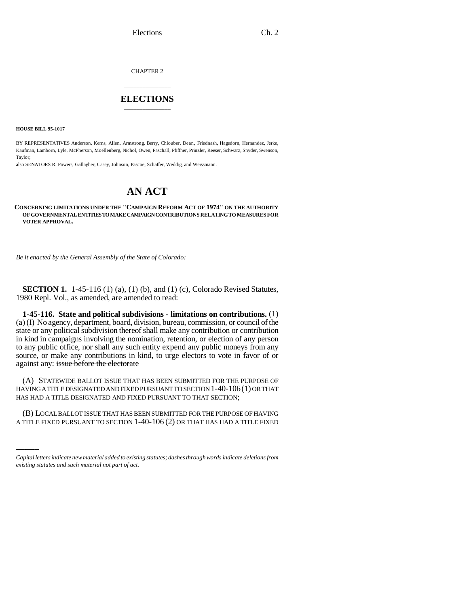CHAPTER 2

## \_\_\_\_\_\_\_\_\_\_\_\_\_\_\_ **ELECTIONS** \_\_\_\_\_\_\_\_\_\_\_\_\_\_\_

**HOUSE BILL 95-1017**

BY REPRESENTATIVES Anderson, Kerns, Allen, Armstrong, Berry, Chlouber, Dean, Friednash, Hagedorn, Hernandez, Jerke, Kaufman, Lamborn, Lyle, McPherson, Moellenberg, Nichol, Owen, Paschall, Pfiffner, Prinzler, Reeser, Schwarz, Snyder, Swenson, Taylor;

also SENATORS R. Powers, Gallagher, Casey, Johnson, Pascoe, Schaffer, Weddig, and Weissmann.

## **AN ACT**

## **CONCERNING LIMITATIONS UNDER THE "CAMPAIGN REFORM ACT OF 1974" ON THE AUTHORITY OF GOVERNMENTAL ENTITIES TO MAKE CAMPAIGN CONTRIBUTIONS RELATING TO MEASURES FOR VOTER APPROVAL.**

*Be it enacted by the General Assembly of the State of Colorado:*

**SECTION 1.** 1-45-116 (1) (a), (1) (b), and (1) (c), Colorado Revised Statutes, 1980 Repl. Vol., as amended, are amended to read:

**1-45-116. State and political subdivisions - limitations on contributions.** (1) (a) (I) No agency, department, board, division, bureau, commission, or council of the state or any political subdivision thereof shall make any contribution or contribution in kind in campaigns involving the nomination, retention, or election of any person to any public office, nor shall any such entity expend any public moneys from any source, or make any contributions in kind, to urge electors to vote in favor of or against any: issue before the electorate

HAVING A TITLE DESIGNATED AND FIXED PURSUANT TO SECTION 1-40-106(1) OR THAT (A) STATEWIDE BALLOT ISSUE THAT HAS BEEN SUBMITTED FOR THE PURPOSE OF HAS HAD A TITLE DESIGNATED AND FIXED PURSUANT TO THAT SECTION;

(B) LOCAL BALLOT ISSUE THAT HAS BEEN SUBMITTED FOR THE PURPOSE OF HAVING A TITLE FIXED PURSUANT TO SECTION 1-40-106 (2) OR THAT HAS HAD A TITLE FIXED

*Capital letters indicate new material added to existing statutes; dashes through words indicate deletions from existing statutes and such material not part of act.*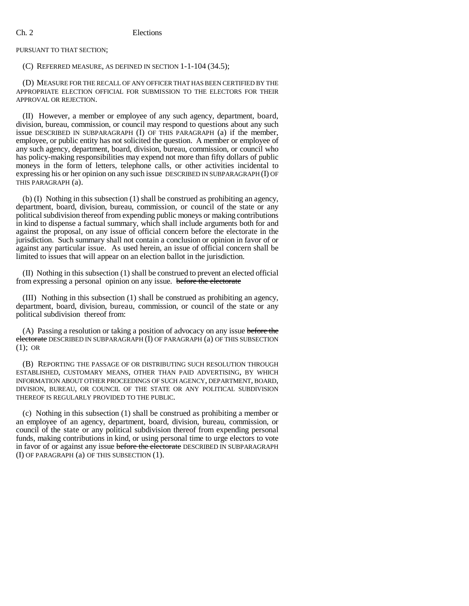PURSUANT TO THAT SECTION;

## (C) REFERRED MEASURE, AS DEFINED IN SECTION 1-1-104 (34.5);

(D) MEASURE FOR THE RECALL OF ANY OFFICER THAT HAS BEEN CERTIFIED BY THE APPROPRIATE ELECTION OFFICIAL FOR SUBMISSION TO THE ELECTORS FOR THEIR APPROVAL OR REJECTION.

(II) However, a member or employee of any such agency, department, board, division, bureau, commission, or council may respond to questions about any such issue DESCRIBED IN SUBPARAGRAPH (I) OF THIS PARAGRAPH (a) if the member, employee, or public entity has not solicited the question. A member or employee of any such agency, department, board, division, bureau, commission, or council who has policy-making responsibilities may expend not more than fifty dollars of public moneys in the form of letters, telephone calls, or other activities incidental to expressing his or her opinion on any such issue DESCRIBED IN SUBPARAGRAPH (I) OF THIS PARAGRAPH (a).

(b) (I) Nothing in this subsection (1) shall be construed as prohibiting an agency, department, board, division, bureau, commission, or council of the state or any political subdivision thereof from expending public moneys or making contributions in kind to dispense a factual summary, which shall include arguments both for and against the proposal, on any issue of official concern before the electorate in the jurisdiction. Such summary shall not contain a conclusion or opinion in favor of or against any particular issue. As used herein, an issue of official concern shall be limited to issues that will appear on an election ballot in the jurisdiction.

(II) Nothing in this subsection (1) shall be construed to prevent an elected official from expressing a personal opinion on any issue. before the electorate

(III) Nothing in this subsection (1) shall be construed as prohibiting an agency, department, board, division, bureau, commission, or council of the state or any political subdivision thereof from:

(A) Passing a resolution or taking a position of advocacy on any issue before the electorate DESCRIBED IN SUBPARAGRAPH (I) OF PARAGRAPH (a) OF THIS SUBSECTION (1); OR

(B) REPORTING THE PASSAGE OF OR DISTRIBUTING SUCH RESOLUTION THROUGH ESTABLISHED, CUSTOMARY MEANS, OTHER THAN PAID ADVERTISING, BY WHICH INFORMATION ABOUT OTHER PROCEEDINGS OF SUCH AGENCY, DEPARTMENT, BOARD, DIVISION, BUREAU, OR COUNCIL OF THE STATE OR ANY POLITICAL SUBDIVISION THEREOF IS REGULARLY PROVIDED TO THE PUBLIC.

(c) Nothing in this subsection (1) shall be construed as prohibiting a member or an employee of an agency, department, board, division, bureau, commission, or council of the state or any political subdivision thereof from expending personal funds, making contributions in kind, or using personal time to urge electors to vote in favor of or against any issue before the electorate DESCRIBED IN SUBPARAGRAPH (I) OF PARAGRAPH (a) OF THIS SUBSECTION (1).